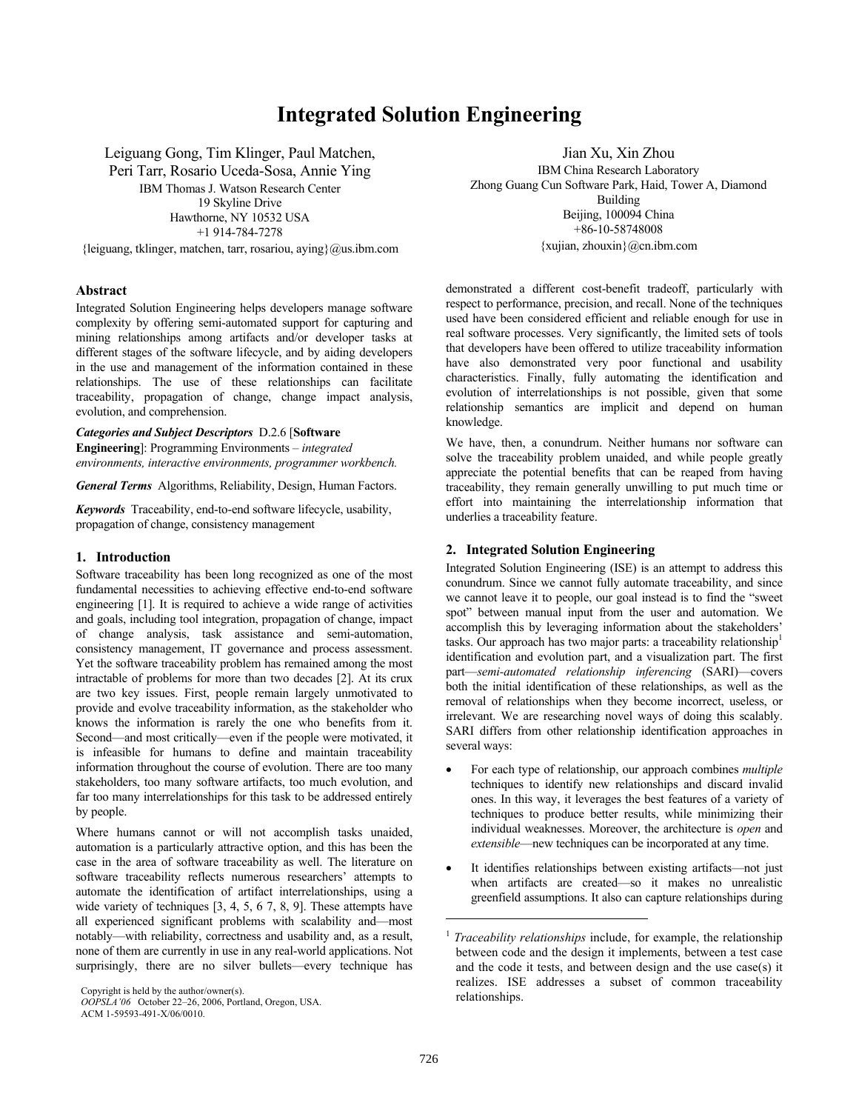# **Integrated Solution Engineering**

Leiguang Gong, Tim Klinger, Paul Matchen, Peri Tarr, Rosario Uceda-Sosa, Annie Ying IBM Thomas J. Watson Research Center 19 Skyline Drive Hawthorne, NY 10532 USA +1 914-784-7278

{leiguang, tklinger, matchen, tarr, rosariou, aying} $@$ us.ibm.com

## **Abstract**

Integrated Solution Engineering helps developers manage software complexity by offering semi-automated support for capturing and mining relationships among artifacts and/or developer tasks at different stages of the software lifecycle, and by aiding developers in the use and management of the information contained in these relationships. The use of these relationships can facilitate traceability, propagation of change, change impact analysis, evolution, and comprehension.

#### *Categories and Subject Descriptors* D.2.6 [**Software**

**Engineering**]: Programming Environments – *integrated environments, interactive environments, programmer workbench.* 

*General Terms* Algorithms, Reliability, Design, Human Factors.

*Keywords* Traceability, end-to-end software lifecycle, usability, propagation of change, consistency management

### **1. Introduction**

Software traceability has been long recognized as one of the most fundamental necessities to achieving effective end-to-end software engineering [1]. It is required to achieve a wide range of activities and goals, including tool integration, propagation of change, impact of change analysis, task assistance and semi-automation, consistency management, IT governance and process assessment. Yet the software traceability problem has remained among the most intractable of problems for more than two decades [2]. At its crux are two key issues. First, people remain largely unmotivated to provide and evolve traceability information, as the stakeholder who knows the information is rarely the one who benefits from it. Second—and most critically—even if the people were motivated, it is infeasible for humans to define and maintain traceability information throughout the course of evolution. There are too many stakeholders, too many software artifacts, too much evolution, and far too many interrelationships for this task to be addressed entirely by people.

Where humans cannot or will not accomplish tasks unaided, automation is a particularly attractive option, and this has been the case in the area of software traceability as well. The literature on software traceability reflects numerous researchers' attempts to automate the identification of artifact interrelationships, using a wide variety of techniques [3, 4, 5, 6 7, 8, 9]. These attempts have all experienced significant problems with scalability and—most notably—with reliability, correctness and usability and, as a result, none of them are currently in use in any real-world applications. Not surprisingly, there are no silver bullets—every technique has

Copyright is held by the author/owner(s). The copyright is held by the author/owner(s). The copyright is held by the author/owner(s).

ACM 1-59593-491-X/06/0010.

Jian Xu, Xin Zhou IBM China Research Laboratory Zhong Guang Cun Software Park, Haid, Tower A, Diamond Building Beijing, 100094 China +86-10-58748008 {xujian, zhouxin}@cn.ibm.com

demonstrated a different cost-benefit tradeoff, particularly with respect to performance, precision, and recall. None of the techniques used have been considered efficient and reliable enough for use in real software processes. Very significantly, the limited sets of tools that developers have been offered to utilize traceability information have also demonstrated very poor functional and usability characteristics. Finally, fully automating the identification and evolution of interrelationships is not possible, given that some relationship semantics are implicit and depend on human knowledge.

We have, then, a conundrum. Neither humans nor software can solve the traceability problem unaided, and while people greatly appreciate the potential benefits that can be reaped from having traceability, they remain generally unwilling to put much time or effort into maintaining the interrelationship information that underlies a traceability feature.

#### **2. Integrated Solution Engineering**

Integrated Solution Engineering (ISE) is an attempt to address this conundrum. Since we cannot fully automate traceability, and since we cannot leave it to people, our goal instead is to find the "sweet spot" between manual input from the user and automation. We accomplish this by leveraging information about the stakeholders' tasks. Our approach has two major parts: a traceability relationship $<sup>1</sup>$ </sup> identification and evolution part, and a visualization part. The first part—*semi-automated relationship inferencing* (SARI)—covers both the initial identification of these relationships, as well as the removal of relationships when they become incorrect, useless, or irrelevant. We are researching novel ways of doing this scalably. SARI differs from other relationship identification approaches in several ways:

- For each type of relationship, our approach combines *multiple* techniques to identify new relationships and discard invalid ones. In this way, it leverages the best features of a variety of techniques to produce better results, while minimizing their individual weaknesses. Moreover, the architecture is *open* and *extensible*—new techniques can be incorporated at any time.
- It identifies relationships between existing artifacts—not just when artifacts are created—so it makes no unrealistic greenfield assumptions. It also can capture relationships during

1

<sup>&</sup>lt;sup>1</sup> *Traceability relationships* include, for example, the relationship between code and the design it implements, between a test case and the code it tests, and between design and the use case(s) it realizes. ISE addresses a subset of common traceability